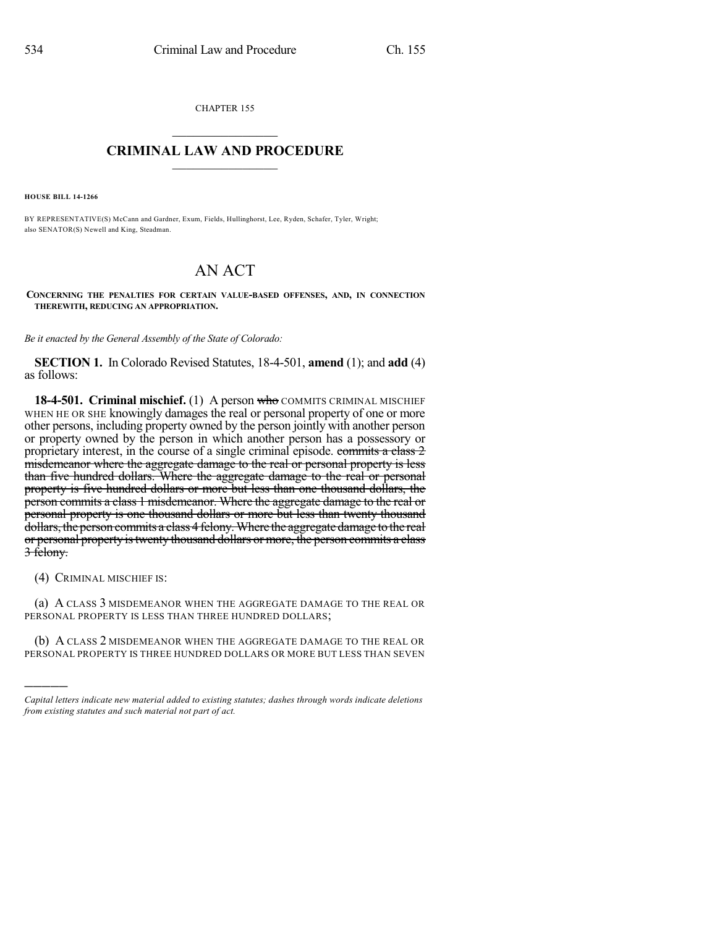CHAPTER 155

## $\overline{\phantom{a}}$  . The set of the set of the set of the set of the set of the set of the set of the set of the set of the set of the set of the set of the set of the set of the set of the set of the set of the set of the set o **CRIMINAL LAW AND PROCEDURE**  $\frac{1}{2}$  ,  $\frac{1}{2}$  ,  $\frac{1}{2}$  ,  $\frac{1}{2}$  ,  $\frac{1}{2}$  ,  $\frac{1}{2}$  ,  $\frac{1}{2}$

**HOUSE BILL 14-1266**

BY REPRESENTATIVE(S) McCann and Gardner, Exum, Fields, Hullinghorst, Lee, Ryden, Schafer, Tyler, Wright; also SENATOR(S) Newell and King, Steadman.

## AN ACT

**CONCERNING THE PENALTIES FOR CERTAIN VALUE-BASED OFFENSES, AND, IN CONNECTION THEREWITH, REDUCING AN APPROPRIATION.**

*Be it enacted by the General Assembly of the State of Colorado:*

**SECTION 1.** In Colorado Revised Statutes, 18-4-501, **amend** (1); and **add** (4) as follows:

**18-4-501. Criminal mischief.** (1) A person who COMMITS CRIMINAL MISCHIEF WHEN HE OR SHE knowingly damages the real or personal property of one or more other persons, including property owned by the person jointly with another person or property owned by the person in which another person has a possessory or proprietary interest, in the course of a single criminal episode. commits a class 2 misdemeanor where the aggregate damage to the real or personal property is less than five hundred dollars. Where the aggregate damage to the real or personal property is five hundred dollars or more but less than one thousand dollars, the person commits a class 1 misdemeanor. Where the aggregate damage to the real or personal property is one thousand dollars or more but less than twenty thousand dollars, the person commits a class 4 felony.Where the aggregate damage to the real or personal property is twenty thousand dollars or more, the person commits a class 3 felony.

(4) CRIMINAL MISCHIEF IS:

)))))

(a) A CLASS 3 MISDEMEANOR WHEN THE AGGREGATE DAMAGE TO THE REAL OR PERSONAL PROPERTY IS LESS THAN THREE HUNDRED DOLLARS;

(b) A CLASS 2 MISDEMEANOR WHEN THE AGGREGATE DAMAGE TO THE REAL OR PERSONAL PROPERTY IS THREE HUNDRED DOLLARS OR MORE BUT LESS THAN SEVEN

*Capital letters indicate new material added to existing statutes; dashes through words indicate deletions from existing statutes and such material not part of act.*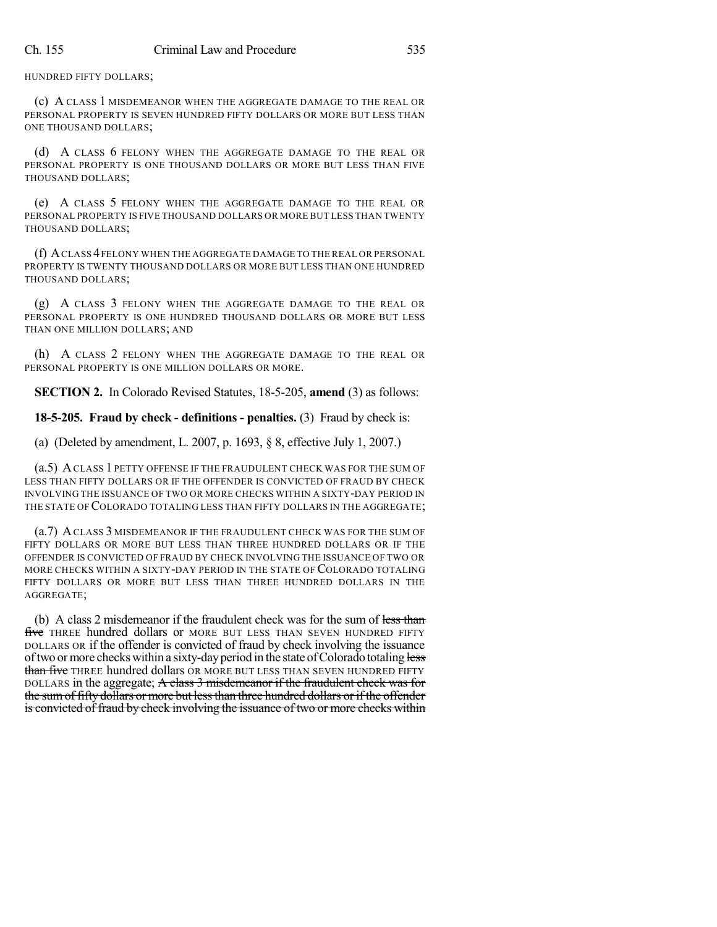HUNDRED FIFTY DOLLARS;

(c) A CLASS 1 MISDEMEANOR WHEN THE AGGREGATE DAMAGE TO THE REAL OR PERSONAL PROPERTY IS SEVEN HUNDRED FIFTY DOLLARS OR MORE BUT LESS THAN ONE THOUSAND DOLLARS;

(d) A CLASS 6 FELONY WHEN THE AGGREGATE DAMAGE TO THE REAL OR PERSONAL PROPERTY IS ONE THOUSAND DOLLARS OR MORE BUT LESS THAN FIVE THOUSAND DOLLARS;

(e) A CLASS 5 FELONY WHEN THE AGGREGATE DAMAGE TO THE REAL OR PERSONAL PROPERTY IS FIVE THOUSAND DOLLARS OR MORE BUT LESS THAN TWENTY THOUSAND DOLLARS;

(f) ACLASS 4FELONY WHEN THE AGGREGATE DAMAGE TO THE REAL OR PERSONAL PROPERTY IS TWENTY THOUSAND DOLLARS OR MORE BUT LESS THAN ONE HUNDRED THOUSAND DOLLARS;

(g) A CLASS 3 FELONY WHEN THE AGGREGATE DAMAGE TO THE REAL OR PERSONAL PROPERTY IS ONE HUNDRED THOUSAND DOLLARS OR MORE BUT LESS THAN ONE MILLION DOLLARS; AND

(h) A CLASS 2 FELONY WHEN THE AGGREGATE DAMAGE TO THE REAL OR PERSONAL PROPERTY IS ONE MILLION DOLLARS OR MORE.

**SECTION 2.** In Colorado Revised Statutes, 18-5-205, **amend** (3) as follows:

**18-5-205. Fraud by check - definitions - penalties.** (3) Fraud by check is:

(a) (Deleted by amendment, L. 2007, p. 1693, § 8, effective July 1, 2007.)

(a.5) ACLASS 1 PETTY OFFENSE IF THE FRAUDULENT CHECK WAS FOR THE SUM OF LESS THAN FIFTY DOLLARS OR IF THE OFFENDER IS CONVICTED OF FRAUD BY CHECK INVOLVING THE ISSUANCE OF TWO OR MORE CHECKS WITHIN A SIXTY-DAY PERIOD IN THE STATE OF COLORADO TOTALING LESS THAN FIFTY DOLLARS IN THE AGGREGATE;

(a.7) ACLASS 3 MISDEMEANOR IF THE FRAUDULENT CHECK WAS FOR THE SUM OF FIFTY DOLLARS OR MORE BUT LESS THAN THREE HUNDRED DOLLARS OR IF THE OFFENDER IS CONVICTED OF FRAUD BY CHECK INVOLVING THE ISSUANCE OF TWO OR MORE CHECKS WITHIN A SIXTY-DAY PERIOD IN THE STATE OF COLORADO TOTALING FIFTY DOLLARS OR MORE BUT LESS THAN THREE HUNDRED DOLLARS IN THE AGGREGATE;

(b) A class 2 misdemeanor if the fraudulent check was for the sum of less than five THREE hundred dollars or MORE BUT LESS THAN SEVEN HUNDRED FIFTY DOLLARS OR if the offender is convicted of fraud by check involving the issuance of two or more checks within a sixty-day period in the state of Colorado totaling less than five THREE hundred dollars OR MORE BUT LESS THAN SEVEN HUNDRED FIFTY DOLLARS in the aggregate; A class 3 misdemeanor if the fraudulent check was for the sumof fifty dollars or more but lessthan three hundred dollars or if the offender is convicted of fraud by check involving the issuance of two or more checks within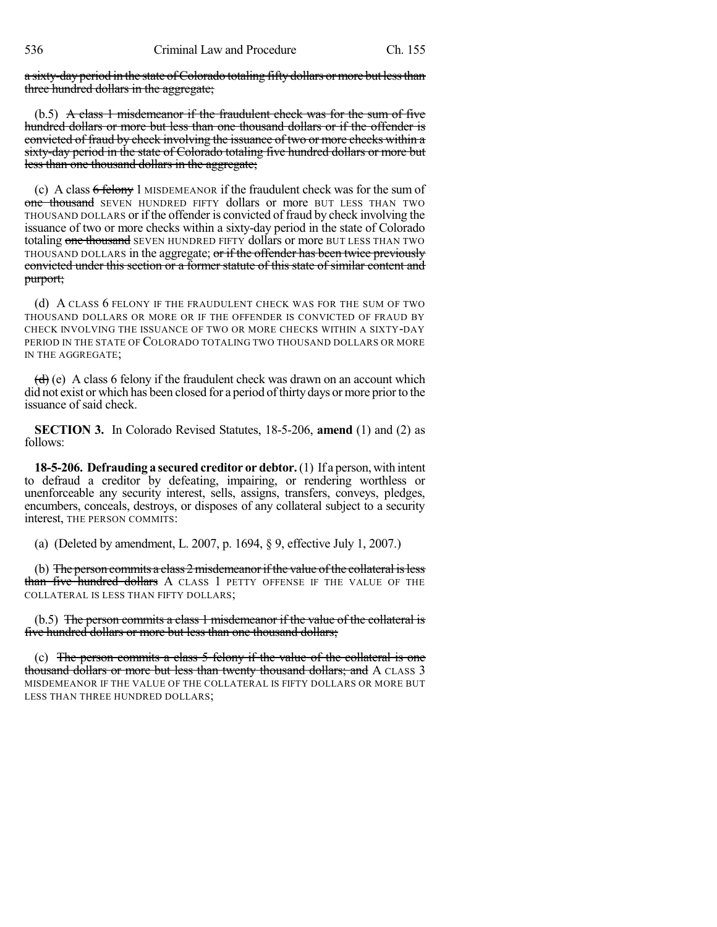a sixty-day period in the state of Colorado totaling fifty dollars or more but less than three hundred dollars in the aggregate;

(b.5) A class 1 misdemeanor if the fraudulent check was for the sum of five hundred dollars or more but less than one thousand dollars or if the offender is convicted of fraud by check involving the issuance of two or more checks within a sixty-day period in the state of Colorado totaling five hundred dollars or more but less than one thousand dollars in the aggregate;

(c) A class 6 felony 1 MISDEMEANOR if the fraudulent check was for the sum of one thousand SEVEN HUNDRED FIFTY dollars or more BUT LESS THAN TWO THOUSAND DOLLARS or if the offender is convicted of fraud by check involving the issuance of two or more checks within a sixty-day period in the state of Colorado totaling one thousand SEVEN HUNDRED FIFTY dollars or more BUT LESS THAN TWO THOUSAND DOLLARS in the aggregate; or if the offender has been twice previously convicted under this section or a former statute of this state of similar content and purport;

(d) A CLASS 6 FELONY IF THE FRAUDULENT CHECK WAS FOR THE SUM OF TWO THOUSAND DOLLARS OR MORE OR IF THE OFFENDER IS CONVICTED OF FRAUD BY CHECK INVOLVING THE ISSUANCE OF TWO OR MORE CHECKS WITHIN A SIXTY-DAY PERIOD IN THE STATE OF COLORADO TOTALING TWO THOUSAND DOLLARS OR MORE IN THE AGGREGATE;

 $(d)$  (e) A class 6 felony if the fraudulent check was drawn on an account which did not exist or which has been closed for a period of thirty days or more prior to the issuance of said check.

**SECTION 3.** In Colorado Revised Statutes, 18-5-206, **amend** (1) and (2) as follows:

**18-5-206. Defrauding a secured creditor or debtor.**(1) If a person, with intent to defraud a creditor by defeating, impairing, or rendering worthless or unenforceable any security interest, sells, assigns, transfers, conveys, pledges, encumbers, conceals, destroys, or disposes of any collateral subject to a security interest, THE PERSON COMMITS:

(a) (Deleted by amendment, L. 2007, p. 1694, § 9, effective July 1, 2007.)

(b) The person commits a class 2 misdemeanor if the value of the collateral is less than five hundred dollars A CLASS 1 PETTY OFFENSE IF THE VALUE OF THE COLLATERAL IS LESS THAN FIFTY DOLLARS;

(b.5) The person commits a class 1 misdemeanor if the value of the collateral is five hundred dollars or more but less than one thousand dollars;

(c) The person commits a class 5 felony if the value of the collateral is one thousand dollars or more but less than twenty thousand dollars; and A CLASS 3 MISDEMEANOR IF THE VALUE OF THE COLLATERAL IS FIFTY DOLLARS OR MORE BUT LESS THAN THREE HUNDRED DOLLARS;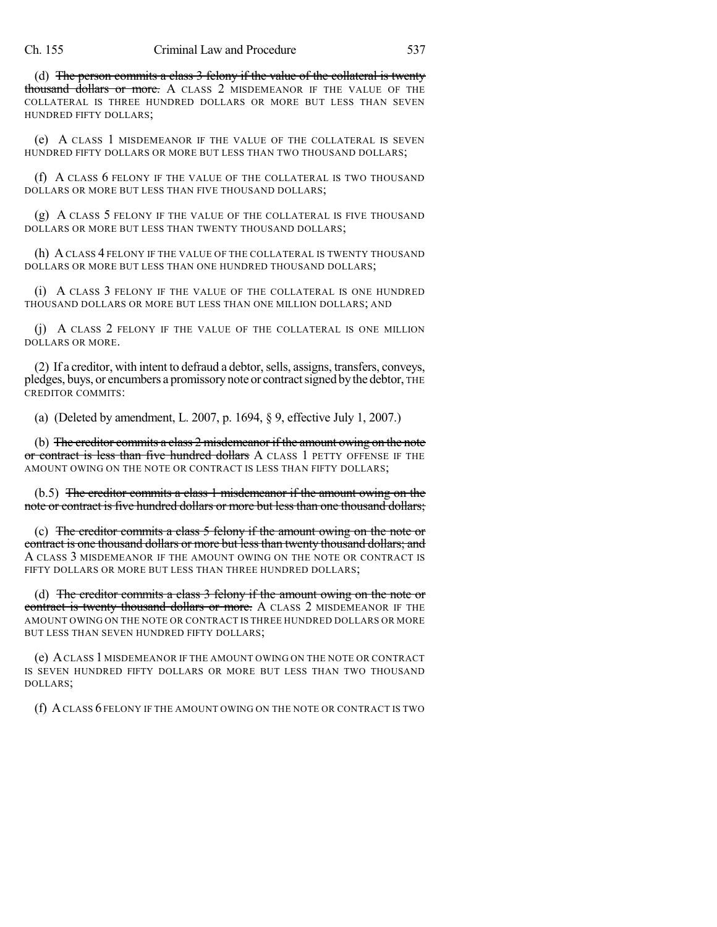(d) The person commits a class 3 felony if the value of the collateral is twenty thousand dollars or more. A CLASS 2 MISDEMEANOR IF THE VALUE OF THE COLLATERAL IS THREE HUNDRED DOLLARS OR MORE BUT LESS THAN SEVEN HUNDRED FIFTY DOLLARS;

(e) A CLASS 1 MISDEMEANOR IF THE VALUE OF THE COLLATERAL IS SEVEN HUNDRED FIFTY DOLLARS OR MORE BUT LESS THAN TWO THOUSAND DOLLARS;

(f) A CLASS 6 FELONY IF THE VALUE OF THE COLLATERAL IS TWO THOUSAND DOLLARS OR MORE BUT LESS THAN FIVE THOUSAND DOLLARS;

(g) A CLASS 5 FELONY IF THE VALUE OF THE COLLATERAL IS FIVE THOUSAND DOLLARS OR MORE BUT LESS THAN TWENTY THOUSAND DOLLARS;

(h) ACLASS 4 FELONY IF THE VALUE OF THE COLLATERAL IS TWENTY THOUSAND DOLLARS OR MORE BUT LESS THAN ONE HUNDRED THOUSAND DOLLARS;

(i) A CLASS 3 FELONY IF THE VALUE OF THE COLLATERAL IS ONE HUNDRED THOUSAND DOLLARS OR MORE BUT LESS THAN ONE MILLION DOLLARS; AND

(j) A CLASS 2 FELONY IF THE VALUE OF THE COLLATERAL IS ONE MILLION DOLLARS OR MORE.

(2) If a creditor, with intent to defraud a debtor, sells, assigns, transfers, conveys, pledges, buys, or encumbers a promissory note or contract signed by the debtor, THE CREDITOR COMMITS:

(a) (Deleted by amendment, L. 2007, p. 1694, § 9, effective July 1, 2007.)

(b) The creditor commits a class 2 misdemeanor if the amount owing on the note or contract is less than five hundred dollars A CLASS 1 PETTY OFFENSE IF THE AMOUNT OWING ON THE NOTE OR CONTRACT IS LESS THAN FIFTY DOLLARS;

(b.5) The creditor commits a class 1 misdemeanor if the amount owing on the note or contract is five hundred dollars or more but less than one thousand dollars;

(c) The creditor commits a class 5 felony if the amount owing on the note or contract is one thousand dollars or more but lessthan twenty thousand dollars; and A CLASS 3 MISDEMEANOR IF THE AMOUNT OWING ON THE NOTE OR CONTRACT IS FIFTY DOLLARS OR MORE BUT LESS THAN THREE HUNDRED DOLLARS:

(d) The creditor commits a class 3 felony if the amount owing on the note or contract is twenty thousand dollars or more. A CLASS 2 MISDEMEANOR IF THE AMOUNT OWING ON THE NOTE OR CONTRACT IS THREE HUNDRED DOLLARS OR MORE BUT LESS THAN SEVEN HUNDRED FIFTY DOLLARS;

(e) ACLASS 1 MISDEMEANOR IF THE AMOUNT OWING ON THE NOTE OR CONTRACT IS SEVEN HUNDRED FIFTY DOLLARS OR MORE BUT LESS THAN TWO THOUSAND DOLLARS;

(f) ACLASS 6 FELONY IF THE AMOUNT OWING ON THE NOTE OR CONTRACT IS TWO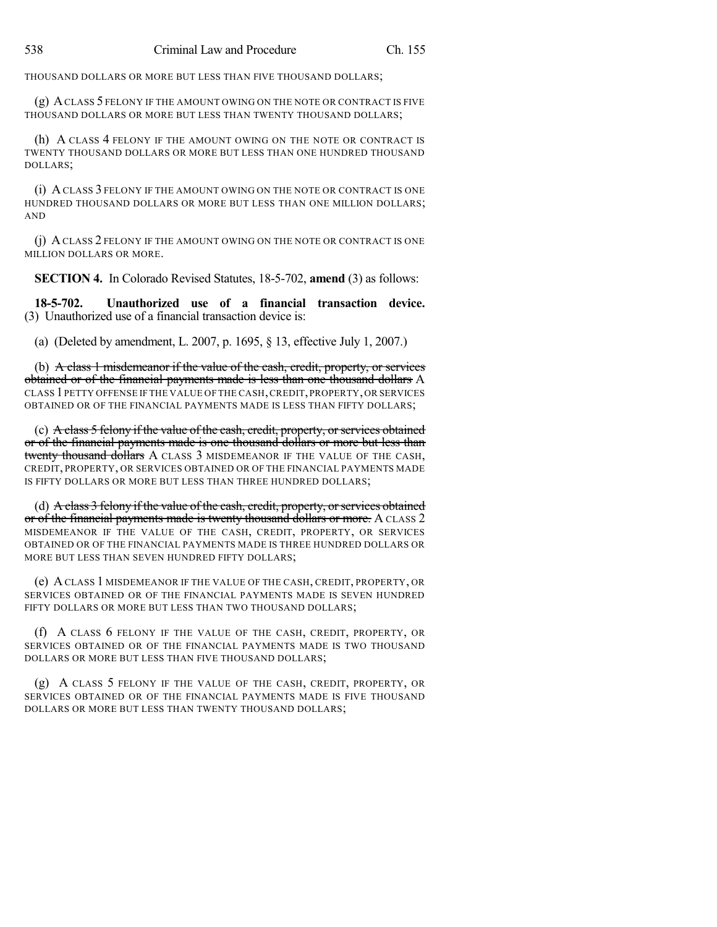THOUSAND DOLLARS OR MORE BUT LESS THAN FIVE THOUSAND DOLLARS;

(g) ACLASS 5 FELONY IF THE AMOUNT OWING ON THE NOTE OR CONTRACT IS FIVE THOUSAND DOLLARS OR MORE BUT LESS THAN TWENTY THOUSAND DOLLARS;

(h) A CLASS 4 FELONY IF THE AMOUNT OWING ON THE NOTE OR CONTRACT IS TWENTY THOUSAND DOLLARS OR MORE BUT LESS THAN ONE HUNDRED THOUSAND DOLLARS;

(i) A CLASS 3 FELONY IF THE AMOUNT OWING ON THE NOTE OR CONTRACT IS ONE HUNDRED THOUSAND DOLLARS OR MORE BUT LESS THAN ONE MILLION DOLLARS; AND

(j) ACLASS 2 FELONY IF THE AMOUNT OWING ON THE NOTE OR CONTRACT IS ONE MILLION DOLLARS OR MORE.

**SECTION 4.** In Colorado Revised Statutes, 18-5-702, **amend** (3) as follows:

**18-5-702. Unauthorized use of a financial transaction device.** (3) Unauthorized use of a financial transaction device is:

(a) (Deleted by amendment, L. 2007, p. 1695, § 13, effective July 1, 2007.)

(b) A class 1 misdemeanor if the value of the eash, credit, property, or services obtained or of the financial payments made is less than one thousand dollars A CLASS 1PETTY OFFENSE IF THE VALUE OFTHE CASH,CREDIT,PROPERTY,OR SERVICES OBTAINED OR OF THE FINANCIAL PAYMENTS MADE IS LESS THAN FIFTY DOLLARS;

(c) A class  $5$  felony if the value of the eash, credit, property, or services obtained or of the financial payments made is one thousand dollars or more but less than twenty thousand dollars A CLASS 3 MISDEMEANOR IF THE VALUE OF THE CASH, CREDIT, PROPERTY, OR SERVICES OBTAINED OR OF THE FINANCIAL PAYMENTS MADE IS FIFTY DOLLARS OR MORE BUT LESS THAN THREE HUNDRED DOLLARS;

(d) A class 3 felony if the value of the cash, credit, property, or services obtained or of the financial payments made is twenty thousand dollars or more. A CLASS 2 MISDEMEANOR IF THE VALUE OF THE CASH, CREDIT, PROPERTY, OR SERVICES OBTAINED OR OF THE FINANCIAL PAYMENTS MADE IS THREE HUNDRED DOLLARS OR MORE BUT LESS THAN SEVEN HUNDRED FIFTY DOLLARS;

(e) ACLASS 1 MISDEMEANOR IF THE VALUE OF THE CASH, CREDIT, PROPERTY, OR SERVICES OBTAINED OR OF THE FINANCIAL PAYMENTS MADE IS SEVEN HUNDRED FIFTY DOLLARS OR MORE BUT LESS THAN TWO THOUSAND DOLLARS;

(f) A CLASS 6 FELONY IF THE VALUE OF THE CASH, CREDIT, PROPERTY, OR SERVICES OBTAINED OR OF THE FINANCIAL PAYMENTS MADE IS TWO THOUSAND DOLLARS OR MORE BUT LESS THAN FIVE THOUSAND DOLLARS;

(g) A CLASS 5 FELONY IF THE VALUE OF THE CASH, CREDIT, PROPERTY, OR SERVICES OBTAINED OR OF THE FINANCIAL PAYMENTS MADE IS FIVE THOUSAND DOLLARS OR MORE BUT LESS THAN TWENTY THOUSAND DOLLARS;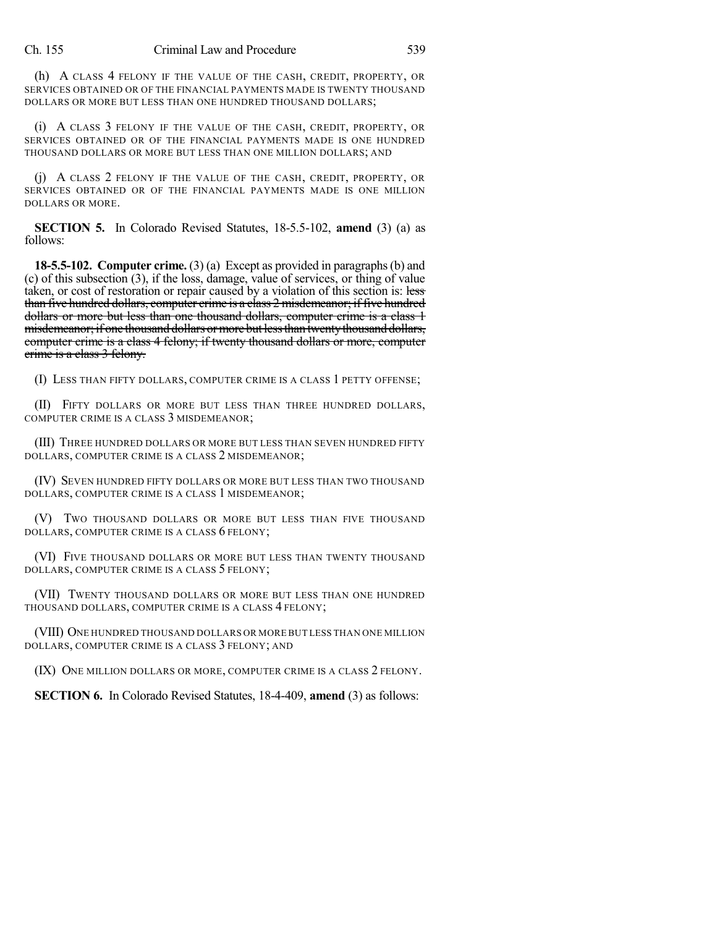(h) A CLASS 4 FELONY IF THE VALUE OF THE CASH, CREDIT, PROPERTY, OR SERVICES OBTAINED OR OF THE FINANCIAL PAYMENTS MADE IS TWENTY THOUSAND DOLLARS OR MORE BUT LESS THAN ONE HUNDRED THOUSAND DOLLARS;

(i) A CLASS 3 FELONY IF THE VALUE OF THE CASH, CREDIT, PROPERTY, OR SERVICES OBTAINED OR OF THE FINANCIAL PAYMENTS MADE IS ONE HUNDRED THOUSAND DOLLARS OR MORE BUT LESS THAN ONE MILLION DOLLARS; AND

(j) A CLASS 2 FELONY IF THE VALUE OF THE CASH, CREDIT, PROPERTY, OR SERVICES OBTAINED OR OF THE FINANCIAL PAYMENTS MADE IS ONE MILLION DOLLARS OR MORE.

**SECTION 5.** In Colorado Revised Statutes, 18-5.5-102, **amend** (3) (a) as follows:

**18-5.5-102. Computer crime.** (3) (a) Except as provided in paragraphs(b) and (c) of this subsection (3), if the loss, damage, value of services, or thing of value taken, or cost of restoration or repair caused by a violation of this section is: less than five hundred dollars, computer crime is a class 2 misdemeanor; if five hundred dollars or more but less than one thousand dollars, computer crime is a class 1 misdemeanor; if one thousand dollars or more but less than twenty thousand dollars, computer crime is a class 4 felony; if twenty thousand dollars or more, computer crime is a class 3 felony.

(I) LESS THAN FIFTY DOLLARS, COMPUTER CRIME IS A CLASS 1 PETTY OFFENSE;

(II) FIFTY DOLLARS OR MORE BUT LESS THAN THREE HUNDRED DOLLARS, COMPUTER CRIME IS A CLASS 3 MISDEMEANOR;

(III) THREE HUNDRED DOLLARS OR MORE BUT LESS THAN SEVEN HUNDRED FIFTY DOLLARS, COMPUTER CRIME IS A CLASS 2 MISDEMEANOR;

(IV) SEVEN HUNDRED FIFTY DOLLARS OR MORE BUT LESS THAN TWO THOUSAND DOLLARS, COMPUTER CRIME IS A CLASS 1 MISDEMEANOR;

(V) TWO THOUSAND DOLLARS OR MORE BUT LESS THAN FIVE THOUSAND DOLLARS, COMPUTER CRIME IS A CLASS 6 FELONY;

(VI) FIVE THOUSAND DOLLARS OR MORE BUT LESS THAN TWENTY THOUSAND DOLLARS, COMPUTER CRIME IS A CLASS 5 FELONY;

(VII) TWENTY THOUSAND DOLLARS OR MORE BUT LESS THAN ONE HUNDRED THOUSAND DOLLARS, COMPUTER CRIME IS A CLASS 4 FELONY;

(VIII) ONE HUNDRED THOUSAND DOLLARS OR MORE BUT LESS THAN ONE MILLION DOLLARS, COMPUTER CRIME IS A CLASS 3 FELONY; AND

(IX) ONE MILLION DOLLARS OR MORE, COMPUTER CRIME IS A CLASS 2 FELONY.

**SECTION 6.** In Colorado Revised Statutes, 18-4-409, **amend** (3) as follows: